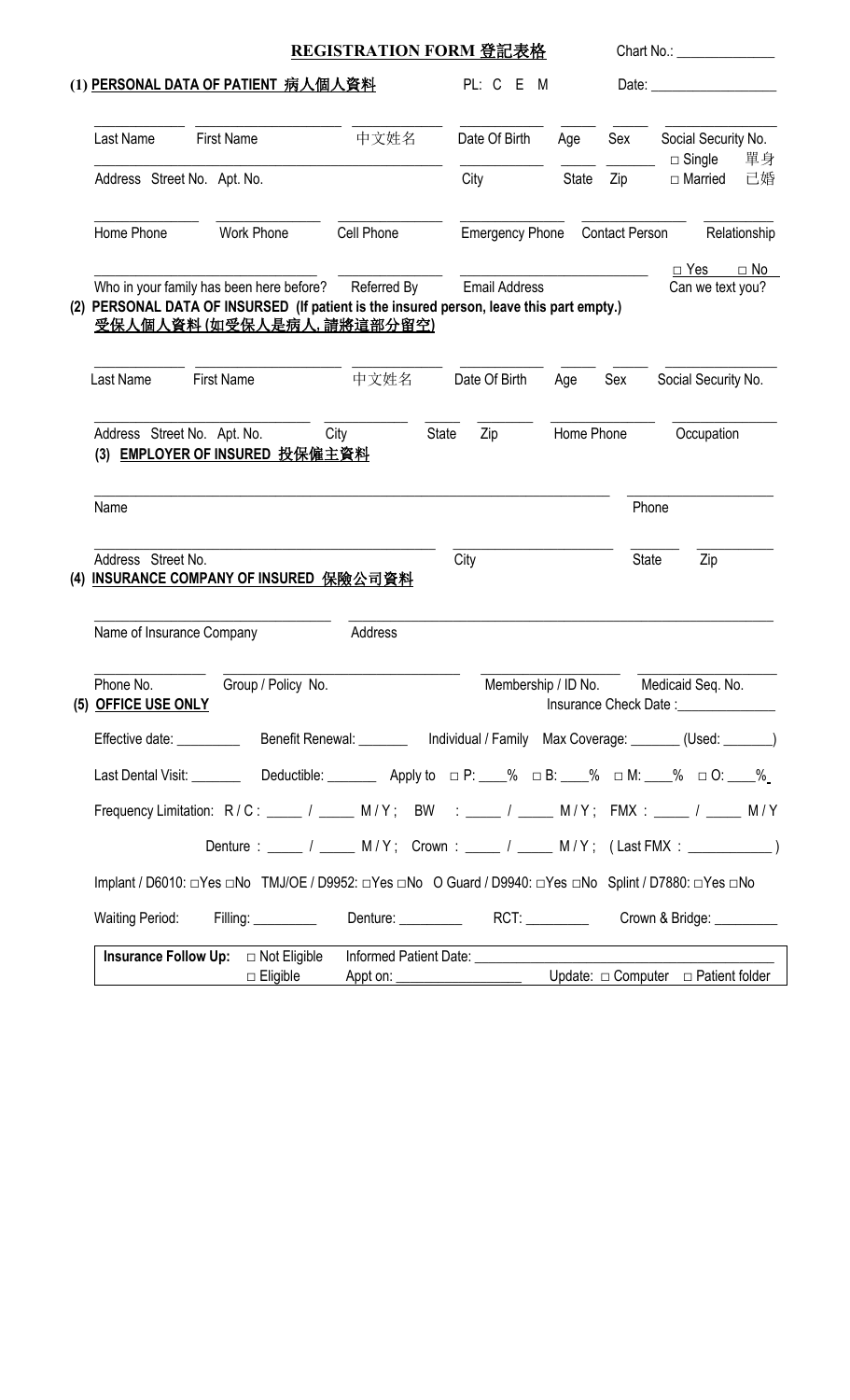| (1) PERSONAL DATA OF PATIENT 病人個人資料<br>PL: C E<br>M<br>Date: the contract of the contract of the contract of the contract of the contract of the contract of the contract of the contract of the contract of the contract of the contract of the contract of the contract of the cont<br>中文姓名<br><b>First Name</b><br>Date Of Birth<br>Social Security No.<br>Last Name<br>Age<br>Sex<br>單身<br>$\Box$ Single<br>Address Street No. Apt. No.<br>City<br>State<br>Zip<br>□ Married<br>Home Phone<br><b>Work Phone</b><br>Cell Phone<br><b>Contact Person</b><br><b>Emergency Phone</b><br><b>Email Address</b><br>Who in your family has been here before?<br>Referred By<br>Can we text you?<br>(2) PERSONAL DATA OF INSURSED (If patient is the insured person, leave this part empty.)<br>受保人個人資料(如受保人是病人,請將這部分留空)<br><b>First Name</b><br>中文姓名<br>Date Of Birth<br>Last Name<br>Social Security No.<br>Sex<br>Age<br>Address Street No. Apt. No.<br>City<br>State<br>Zip<br>Home Phone<br>Occupation<br><b>EMPLOYER OF INSURED 投保僱主資料</b><br>(3)<br>Name<br>Phone<br>Zip<br>Address Street No.<br>City<br><b>State</b><br><b>INSURANCE COMPANY OF INSURED 保險公司資料</b><br>(4)<br>Address<br>Name of Insurance Company<br>Group / Policy No.<br>Membership / ID No. Medicaid Seq. No.<br>Phone No.<br>(5) OFFICE USE ONLY<br>Effective date: _______________Benefit Renewal: ____________ Individual / Family Max Coverage: _______(Used: ______)<br>Last Dental Visit: _________ Deductible: ________ Apply to $\Box P:$ 4. $\Box S:$ Apply to $\Box B:$ 4. $\Box$ % $\Box M:$ $\Box S:$ $\Box S:$ $\Box S:$<br>Frequency Limitation: R/C: ____ / ____ M/Y; BW : ___ / ____ M/Y; FMX : ____ / ___ M/Y<br>Denture: _____ / _____ M/Y; Crown: ____ / ____ M/Y; (Last FMX: ___________)<br>Implant / D6010: □Yes □No TMJ/OE / D9952: □Yes □No O Guard / D9940: □Yes □No Splint / D7880: □Yes □No<br>Denture: RCT: Crown & Bridge:<br><b>Waiting Period:</b><br>Filling: __________ |  | REGISTRATION FORM 登記表格 |  | Chart No.: <b>Example 20</b> |
|---------------------------------------------------------------------------------------------------------------------------------------------------------------------------------------------------------------------------------------------------------------------------------------------------------------------------------------------------------------------------------------------------------------------------------------------------------------------------------------------------------------------------------------------------------------------------------------------------------------------------------------------------------------------------------------------------------------------------------------------------------------------------------------------------------------------------------------------------------------------------------------------------------------------------------------------------------------------------------------------------------------------------------------------------------------------------------------------------------------------------------------------------------------------------------------------------------------------------------------------------------------------------------------------------------------------------------------------------------------------------------------------------------------------------------------------------------------------------------------------------------------------------------------------------------------------------------------------------------------------------------------------------------------------------------------------------------------------------------------------------------------------------------------------------------------------------------------------------------------------------------------------------------------------------------------------------------------------------------|--|------------------------|--|------------------------------|
|                                                                                                                                                                                                                                                                                                                                                                                                                                                                                                                                                                                                                                                                                                                                                                                                                                                                                                                                                                                                                                                                                                                                                                                                                                                                                                                                                                                                                                                                                                                                                                                                                                                                                                                                                                                                                                                                                                                                                                                 |  |                        |  |                              |
|                                                                                                                                                                                                                                                                                                                                                                                                                                                                                                                                                                                                                                                                                                                                                                                                                                                                                                                                                                                                                                                                                                                                                                                                                                                                                                                                                                                                                                                                                                                                                                                                                                                                                                                                                                                                                                                                                                                                                                                 |  |                        |  |                              |
|                                                                                                                                                                                                                                                                                                                                                                                                                                                                                                                                                                                                                                                                                                                                                                                                                                                                                                                                                                                                                                                                                                                                                                                                                                                                                                                                                                                                                                                                                                                                                                                                                                                                                                                                                                                                                                                                                                                                                                                 |  |                        |  | 已婚                           |
|                                                                                                                                                                                                                                                                                                                                                                                                                                                                                                                                                                                                                                                                                                                                                                                                                                                                                                                                                                                                                                                                                                                                                                                                                                                                                                                                                                                                                                                                                                                                                                                                                                                                                                                                                                                                                                                                                                                                                                                 |  |                        |  | Relationship                 |
|                                                                                                                                                                                                                                                                                                                                                                                                                                                                                                                                                                                                                                                                                                                                                                                                                                                                                                                                                                                                                                                                                                                                                                                                                                                                                                                                                                                                                                                                                                                                                                                                                                                                                                                                                                                                                                                                                                                                                                                 |  |                        |  | $\Box$ Yes $\Box$ No         |
|                                                                                                                                                                                                                                                                                                                                                                                                                                                                                                                                                                                                                                                                                                                                                                                                                                                                                                                                                                                                                                                                                                                                                                                                                                                                                                                                                                                                                                                                                                                                                                                                                                                                                                                                                                                                                                                                                                                                                                                 |  |                        |  |                              |
|                                                                                                                                                                                                                                                                                                                                                                                                                                                                                                                                                                                                                                                                                                                                                                                                                                                                                                                                                                                                                                                                                                                                                                                                                                                                                                                                                                                                                                                                                                                                                                                                                                                                                                                                                                                                                                                                                                                                                                                 |  |                        |  |                              |
|                                                                                                                                                                                                                                                                                                                                                                                                                                                                                                                                                                                                                                                                                                                                                                                                                                                                                                                                                                                                                                                                                                                                                                                                                                                                                                                                                                                                                                                                                                                                                                                                                                                                                                                                                                                                                                                                                                                                                                                 |  |                        |  |                              |
|                                                                                                                                                                                                                                                                                                                                                                                                                                                                                                                                                                                                                                                                                                                                                                                                                                                                                                                                                                                                                                                                                                                                                                                                                                                                                                                                                                                                                                                                                                                                                                                                                                                                                                                                                                                                                                                                                                                                                                                 |  |                        |  |                              |
|                                                                                                                                                                                                                                                                                                                                                                                                                                                                                                                                                                                                                                                                                                                                                                                                                                                                                                                                                                                                                                                                                                                                                                                                                                                                                                                                                                                                                                                                                                                                                                                                                                                                                                                                                                                                                                                                                                                                                                                 |  |                        |  |                              |
|                                                                                                                                                                                                                                                                                                                                                                                                                                                                                                                                                                                                                                                                                                                                                                                                                                                                                                                                                                                                                                                                                                                                                                                                                                                                                                                                                                                                                                                                                                                                                                                                                                                                                                                                                                                                                                                                                                                                                                                 |  |                        |  |                              |
|                                                                                                                                                                                                                                                                                                                                                                                                                                                                                                                                                                                                                                                                                                                                                                                                                                                                                                                                                                                                                                                                                                                                                                                                                                                                                                                                                                                                                                                                                                                                                                                                                                                                                                                                                                                                                                                                                                                                                                                 |  |                        |  |                              |
|                                                                                                                                                                                                                                                                                                                                                                                                                                                                                                                                                                                                                                                                                                                                                                                                                                                                                                                                                                                                                                                                                                                                                                                                                                                                                                                                                                                                                                                                                                                                                                                                                                                                                                                                                                                                                                                                                                                                                                                 |  |                        |  |                              |
|                                                                                                                                                                                                                                                                                                                                                                                                                                                                                                                                                                                                                                                                                                                                                                                                                                                                                                                                                                                                                                                                                                                                                                                                                                                                                                                                                                                                                                                                                                                                                                                                                                                                                                                                                                                                                                                                                                                                                                                 |  |                        |  |                              |
|                                                                                                                                                                                                                                                                                                                                                                                                                                                                                                                                                                                                                                                                                                                                                                                                                                                                                                                                                                                                                                                                                                                                                                                                                                                                                                                                                                                                                                                                                                                                                                                                                                                                                                                                                                                                                                                                                                                                                                                 |  |                        |  |                              |
|                                                                                                                                                                                                                                                                                                                                                                                                                                                                                                                                                                                                                                                                                                                                                                                                                                                                                                                                                                                                                                                                                                                                                                                                                                                                                                                                                                                                                                                                                                                                                                                                                                                                                                                                                                                                                                                                                                                                                                                 |  |                        |  |                              |
|                                                                                                                                                                                                                                                                                                                                                                                                                                                                                                                                                                                                                                                                                                                                                                                                                                                                                                                                                                                                                                                                                                                                                                                                                                                                                                                                                                                                                                                                                                                                                                                                                                                                                                                                                                                                                                                                                                                                                                                 |  |                        |  |                              |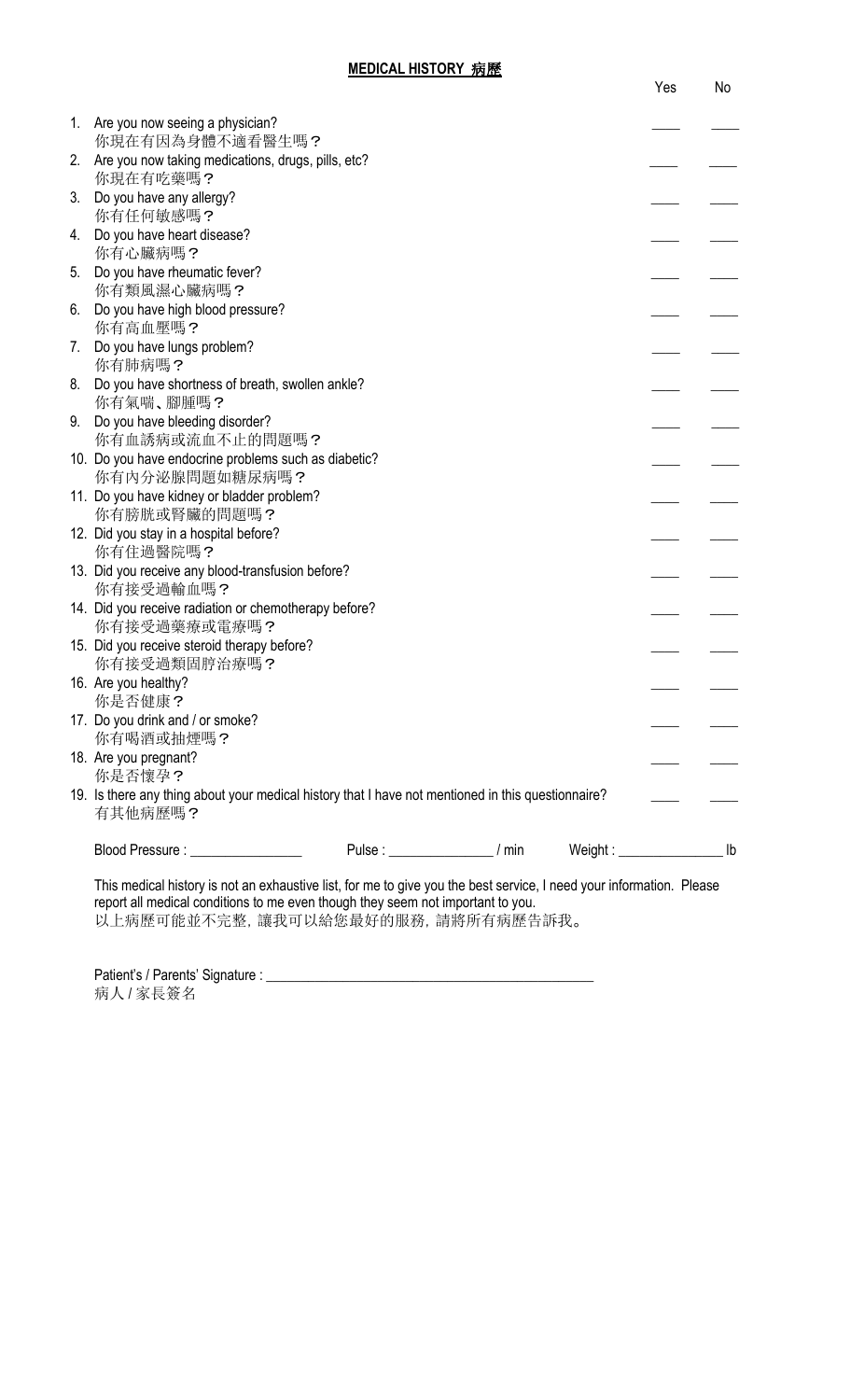|    |                                                                                                               |                                    |                            | Yes | No |
|----|---------------------------------------------------------------------------------------------------------------|------------------------------------|----------------------------|-----|----|
| 1. | Are you now seeing a physician?<br>你現在有因為身體不適看醫生嗎?                                                            |                                    |                            |     |    |
| 2. | Are you now taking medications, drugs, pills, etc?                                                            |                                    |                            |     |    |
| 3. | 你現在有吃藥嗎?<br>Do you have any allergy?                                                                          |                                    |                            |     |    |
| 4. | 你有任何敏感嗎?<br>Do you have heart disease?                                                                        |                                    |                            |     |    |
| 5. | 你有心臟病嗎?<br>Do you have rheumatic fever?                                                                       |                                    |                            |     |    |
| 6. | 你有類風濕心臟病嗎?<br>Do you have high blood pressure?                                                                |                                    |                            |     |    |
|    | 你有高血壓嗎?                                                                                                       |                                    |                            |     |    |
| 7. | Do you have lungs problem?<br>你有肺病嗎?                                                                          |                                    |                            |     |    |
| 8. | Do you have shortness of breath, swollen ankle?<br>你有氣喘、腳腫嗎?                                                  |                                    |                            |     |    |
| 9. | Do you have bleeding disorder?<br>你有血誘病或流血不止的問題嗎?                                                             |                                    |                            |     |    |
|    | 10. Do you have endocrine problems such as diabetic?<br>你有内分泌腺問題如糖尿病嗎?                                        |                                    |                            |     |    |
|    | 11. Do you have kidney or bladder problem?                                                                    |                                    |                            |     |    |
|    | 你有膀胱或腎臟的問題嗎?<br>12. Did you stay in a hospital before?                                                        |                                    |                            |     |    |
|    | 你有住過醫院嗎?<br>13. Did you receive any blood-transfusion before?                                                 |                                    |                            |     |    |
|    | 你有接受過輸血嗎?<br>14. Did you receive radiation or chemotherapy before?                                            |                                    |                            |     |    |
|    | 你有接受過藥療或電療嗎?                                                                                                  |                                    |                            |     |    |
|    | 15. Did you receive steroid therapy before?<br>你有接受過類固脝治療嗎?                                                   |                                    |                            |     |    |
|    | 16. Are you healthy?<br>你是否健康?                                                                                |                                    |                            |     |    |
|    | 17. Do you drink and / or smoke?<br>你有喝酒或抽煙嗎?                                                                 |                                    |                            |     |    |
|    | 18. Are you pregnant?<br>你是否懷孕?                                                                               |                                    |                            |     |    |
|    | 19. Is there any thing about your medical history that I have not mentioned in this questionnaire?<br>有其他病歷嗎? |                                    |                            |     |    |
|    | Blood Pressure : _________________                                                                            | Pulse : _____________________/ min | $Weight:$ $\frac{1}{1}$ lb |     |    |
|    |                                                                                                               |                                    |                            |     |    |

This medical history is not an exhaustive list, for me to give you the best service, I need your information. Please report all medical conditions to me even though they seem not important to you. 以上病歷可能並不完整,讓我可以給您最好的服務,請將所有病歷告訴我。

Patient's / Parents' Signature : \_\_\_\_\_\_\_\_\_\_\_\_\_\_\_\_\_\_\_\_\_\_\_\_\_\_\_\_\_\_\_\_\_\_\_\_\_\_\_\_\_\_\_\_\_\_\_ 病人/家長簽名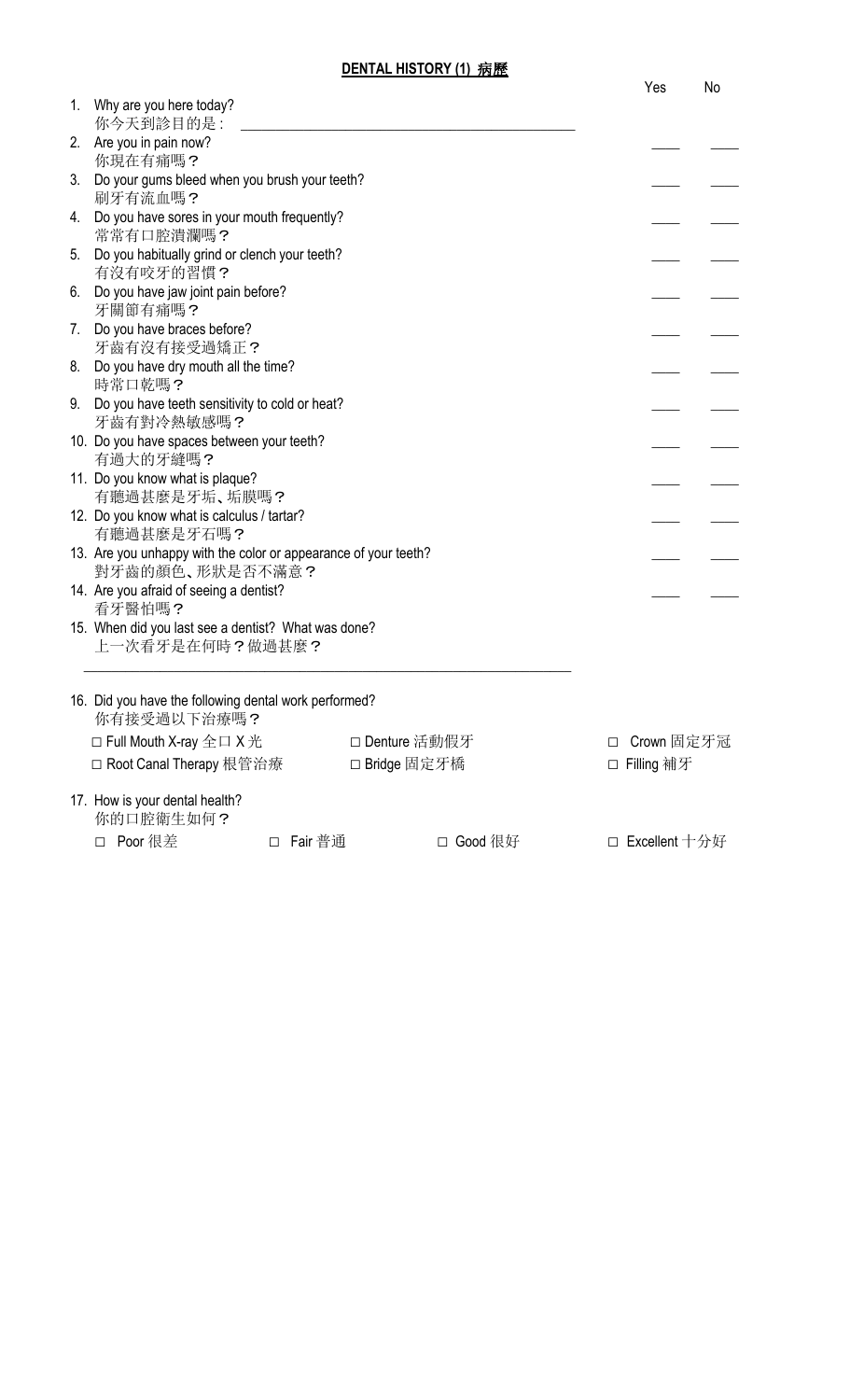| DENTAL HISTORY (1) 病歷 |  |
|-----------------------|--|
|                       |  |

|    |                                                                                    | Yes                  | No |
|----|------------------------------------------------------------------------------------|----------------------|----|
|    | 1. Why are you here today?<br>你今天到診目的是:                                            |                      |    |
|    | 2. Are you in pain now?<br>你現在有痛嗎?                                                 |                      |    |
|    | 3. Do your gums bleed when you brush your teeth?<br>刷牙有流血嗎?                        |                      |    |
|    | 4. Do you have sores in your mouth frequently?<br>常常有口腔潰瀾嗎?                        |                      |    |
| 5. | Do you habitually grind or clench your teeth?<br>有沒有咬牙的習慣?                         |                      |    |
|    | 6. Do you have jaw joint pain before?<br>牙關節有痛嗎?                                   |                      |    |
|    | 7. Do you have braces before?<br>牙齒有沒有接受過矯正?                                       |                      |    |
|    | 8. Do you have dry mouth all the time?<br>時常口乾嗎?                                   |                      |    |
| 9. | Do you have teeth sensitivity to cold or heat?<br>牙齒有對冷熱敏感嗎?                       |                      |    |
|    | 10. Do you have spaces between your teeth?<br>有過大的牙縫嗎?                             |                      |    |
|    | 11. Do you know what is plaque?<br>有聽過甚麼是牙垢、垢膜嗎?                                   |                      |    |
|    | 12. Do you know what is calculus / tartar?<br>有聽過甚麼是牙石嗎?                           |                      |    |
|    | 13. Are you unhappy with the color or appearance of your teeth?<br>對牙齒的顏色、形狀是否不滿意? |                      |    |
|    | 14. Are you afraid of seeing a dentist?<br>看牙醫怕嗎?                                  |                      |    |
|    | 15. When did you last see a dentist? What was done?<br>上一次看牙是在何時?做過甚麼?             |                      |    |
|    | 16. Did you have the following dental work performed?                              |                      |    |
|    | 你有接受過以下治療嗎?                                                                        |                      |    |
|    | $\Box$ Full Mouth X-ray $\triangleq \Box$ X $\angle$<br>□ Denture 活動假牙             | Crown 固定牙冠<br>$\Box$ |    |
|    | □ Root Canal Therapy 根管治療<br>□ Bridge 固定牙橋                                         | □ Filling 補牙         |    |
|    | 17. How is your dental health?<br>你的口腔衛生如何?                                        |                      |    |
|    | □ Poor 很差<br>□ Fair普通<br>□ Good 很好                                                 | □ Excellent 十分好      |    |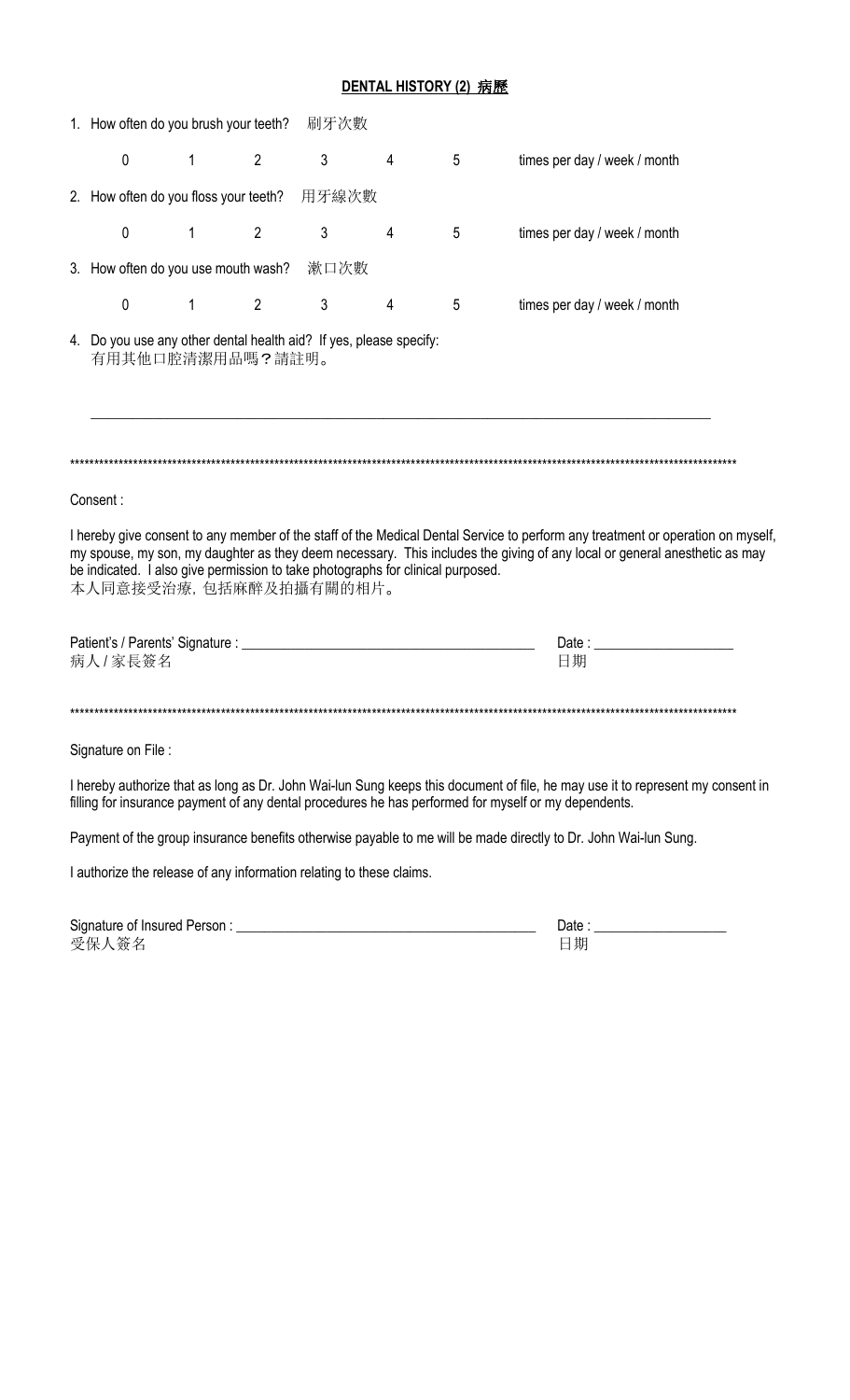## DENTAL HISTORY (2) 病歷

| 1. How often do you brush your teeth? 刷牙次數                                                                |              |                |              |                |   |                                                                                                                                                                                                                                                              |  |
|-----------------------------------------------------------------------------------------------------------|--------------|----------------|--------------|----------------|---|--------------------------------------------------------------------------------------------------------------------------------------------------------------------------------------------------------------------------------------------------------------|--|
| 0                                                                                                         | $\mathbf{1}$ | $\overline{2}$ | $\mathbf{3}$ | 4              | 5 | times per day / week / month                                                                                                                                                                                                                                 |  |
| 2. How often do you floss your teeth? 用牙線次數                                                               |              |                |              |                |   |                                                                                                                                                                                                                                                              |  |
| $\mathbf 0$                                                                                               |              | $1 \t 2$       | $\mathbf{3}$ | 4              | 5 | times per day / week / month                                                                                                                                                                                                                                 |  |
| 3. How often do you use mouth wash? 漱口次數                                                                  |              |                |              |                |   |                                                                                                                                                                                                                                                              |  |
| $\mathbf 0$                                                                                               |              | $1 \t 2 \t 3$  |              | $\overline{4}$ | 5 | times per day / week / month                                                                                                                                                                                                                                 |  |
| 4. Do you use any other dental health aid? If yes, please specify:<br>有用其他口腔清潔用品嗎?請註明。                    |              |                |              |                |   |                                                                                                                                                                                                                                                              |  |
|                                                                                                           |              |                |              |                |   |                                                                                                                                                                                                                                                              |  |
| Consent:                                                                                                  |              |                |              |                |   |                                                                                                                                                                                                                                                              |  |
| be indicated. I also give permission to take photographs for clinical purposed.<br>本人同意接受治療,包括麻醉及拍攝有關的相片。 |              |                |              |                |   | I hereby give consent to any member of the staff of the Medical Dental Service to perform any treatment or operation on myself,<br>my spouse, my son, my daughter as they deem necessary. This includes the giving of any local or general anesthetic as may |  |
| 病人/家長簽名                                                                                                   |              |                |              |                |   | 日期                                                                                                                                                                                                                                                           |  |
|                                                                                                           |              |                |              |                |   |                                                                                                                                                                                                                                                              |  |
| Signature on File:                                                                                        |              |                |              |                |   |                                                                                                                                                                                                                                                              |  |
|                                                                                                           |              |                |              |                |   | I hereby authorize that as long as Dr. John Wai-lun Sung keeps this document of file, he may use it to represent my consent in<br>filling for insurance payment of any dental procedures he has performed for myself or my dependents.                       |  |
|                                                                                                           |              |                |              |                |   | Payment of the group insurance benefits otherwise payable to me will be made directly to Dr. John Wai-lun Sung.                                                                                                                                              |  |
| I authorize the release of any information relating to these claims.                                      |              |                |              |                |   |                                                                                                                                                                                                                                                              |  |
| 受保人簽名                                                                                                     |              |                |              |                |   | 日期                                                                                                                                                                                                                                                           |  |